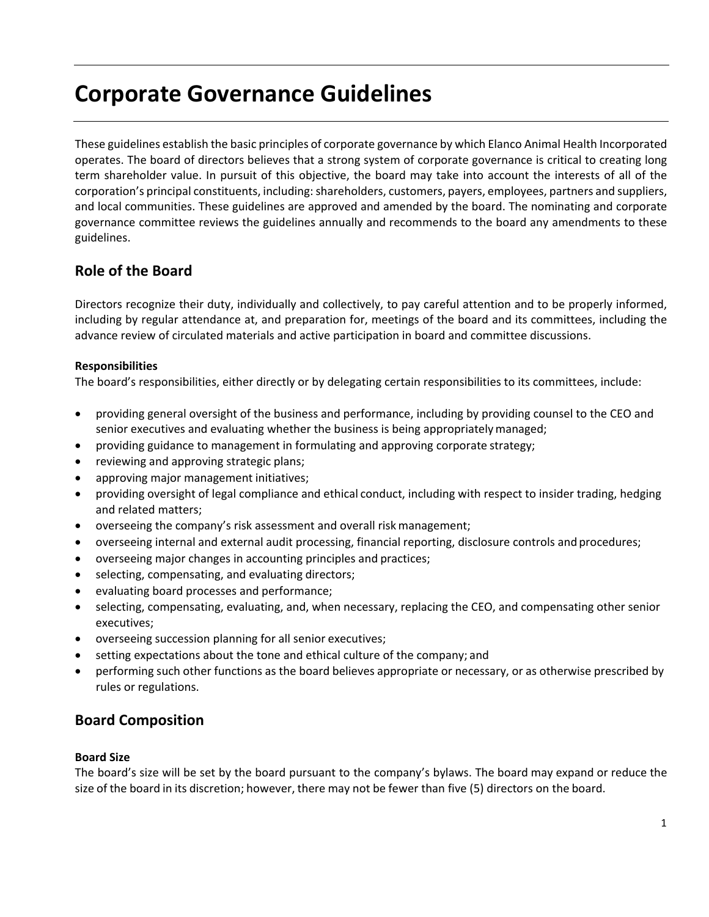# **Corporate Governance Guidelines**

These guidelines establish the basic principles of corporate governance by which Elanco Animal Health Incorporated operates. The board of directors believes that a strong system of corporate governance is critical to creating long term shareholder value. In pursuit of this objective, the board may take into account the interests of all of the corporation's principal constituents, including: shareholders, customers, payers, employees, partners and suppliers, and local communities. These guidelines are approved and amended by the board. The nominating and corporate governance committee reviews the guidelines annually and recommends to the board any amendments to these guidelines.

# **Role of the Board**

Directors recognize their duty, individually and collectively, to pay careful attention and to be properly informed, including by regular attendance at, and preparation for, meetings of the board and its committees, including the advance review of circulated materials and active participation in board and committee discussions.

#### **Responsibilities**

The board's responsibilities, either directly or by delegating certain responsibilities to its committees, include:

- providing general oversight of the business and performance, including by providing counsel to the CEO and senior executives and evaluating whether the business is being appropriatelymanaged;
- providing guidance to management in formulating and approving corporate strategy;
- reviewing and approving strategic plans;
- approving major management initiatives;
- providing oversight of legal compliance and ethical conduct, including with respect to insider trading, hedging and related matters;
- overseeing the company's risk assessment and overall risk management;
- overseeing internal and external audit processing, financial reporting, disclosure controls andprocedures;
- overseeing major changes in accounting principles and practices;
- selecting, compensating, and evaluating directors;
- evaluating board processes and performance;
- selecting, compensating, evaluating, and, when necessary, replacing the CEO, and compensating other senior executives;
- overseeing succession planning for all senior executives;
- setting expectations about the tone and ethical culture of the company; and
- performing such other functions as the board believes appropriate or necessary, or as otherwise prescribed by rules or regulations.

# **Board Composition**

#### **Board Size**

The board's size will be set by the board pursuant to the company's bylaws. The board may expand or reduce the size of the board in its discretion; however, there may not be fewer than five (5) directors on the board.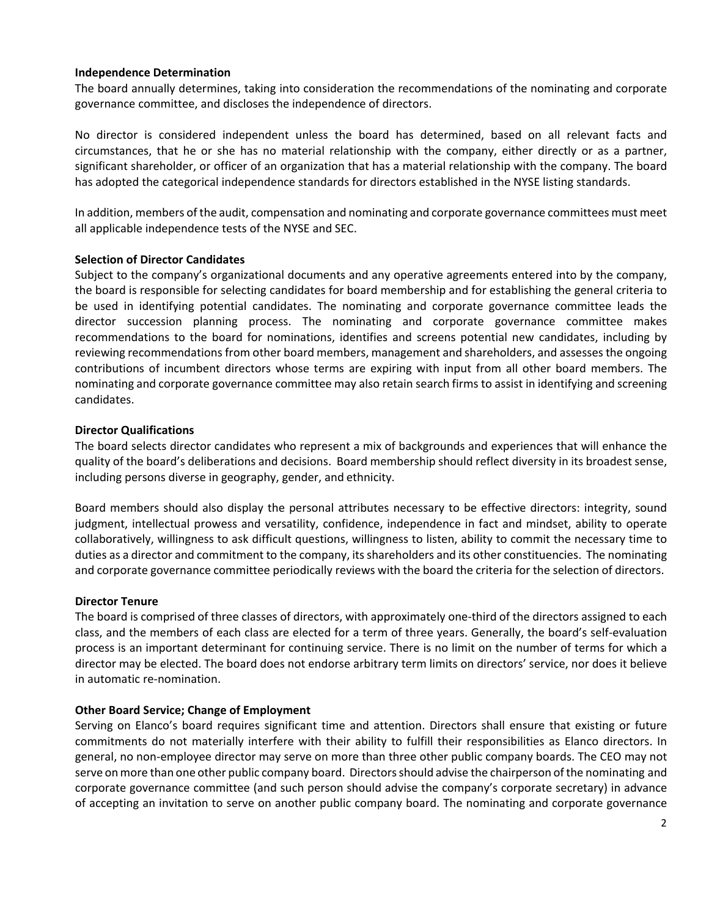#### **Independence Determination**

The board annually determines, taking into consideration the recommendations of the nominating and corporate governance committee, and discloses the independence of directors.

No director is considered independent unless the board has determined, based on all relevant facts and circumstances, that he or she has no material relationship with the company, either directly or as a partner, significant shareholder, or officer of an organization that has a material relationship with the company. The board has adopted the categorical independence standards for directors established in the NYSE listing standards.

In addition, members of the audit, compensation and nominating and corporate governance committees must meet all applicable independence tests of the NYSE and SEC.

#### **Selection of Director Candidates**

Subject to the company's organizational documents and any operative agreements entered into by the company, the board is responsible for selecting candidates for board membership and for establishing the general criteria to be used in identifying potential candidates. The nominating and corporate governance committee leads the director succession planning process. The nominating and corporate governance committee makes recommendations to the board for nominations, identifies and screens potential new candidates, including by reviewing recommendations from other board members, management and shareholders, and assessesthe ongoing contributions of incumbent directors whose terms are expiring with input from all other board members. The nominating and corporate governance committee may also retain search firms to assist in identifying and screening candidates.

#### **Director Qualifications**

The board selects director candidates who represent a mix of backgrounds and experiences that will enhance the quality of the board's deliberations and decisions. Board membership should reflect diversity in its broadest sense, including persons diverse in geography, gender, and ethnicity.

Board members should also display the personal attributes necessary to be effective directors: integrity, sound judgment, intellectual prowess and versatility, confidence, independence in fact and mindset, ability to operate collaboratively, willingness to ask difficult questions, willingness to listen, ability to commit the necessary time to duties as a director and commitment to the company, itsshareholders and its other constituencies. The nominating and corporate governance committee periodically reviews with the board the criteria for the selection of directors.

#### **Director Tenure**

The board is comprised of three classes of directors, with approximately one-third of the directors assigned to each class, and the members of each class are elected for a term of three years. Generally, the board's self-evaluation process is an important determinant for continuing service. There is no limit on the number of terms for which a director may be elected. The board does not endorse arbitrary term limits on directors' service, nor does it believe in automatic re-nomination.

#### **Other Board Service; Change of Employment**

Serving on Elanco's board requires significant time and attention. Directors shall ensure that existing or future commitments do not materially interfere with their ability to fulfill their responsibilities as Elanco directors. In general, no non-employee director may serve on more than three other public company boards. The CEO may not serve on more than one other public company board. Directors should advise the chairperson of the nominating and corporate governance committee (and such person should advise the company's corporate secretary) in advance of accepting an invitation to serve on another public company board. The nominating and corporate governance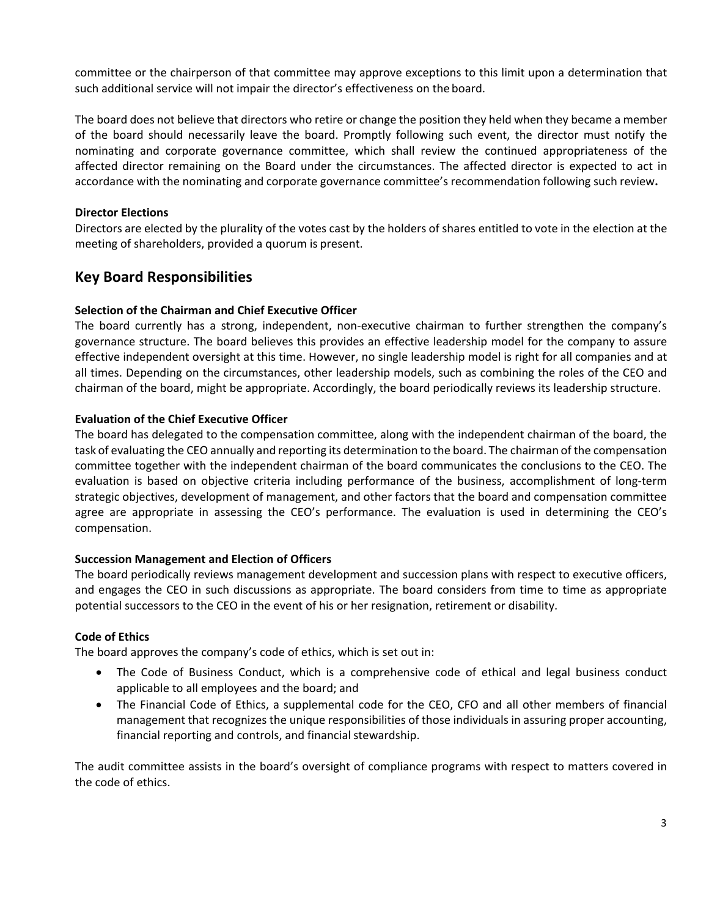committee or the chairperson of that committee may approve exceptions to this limit upon a determination that such additional service will not impair the director's effectiveness on the board.

The board does not believe that directors who retire or change the position they held when they became a member of the board should necessarily leave the board. Promptly following such event, the director must notify the nominating and corporate governance committee, which shall review the continued appropriateness of the affected director remaining on the Board under the circumstances. The affected director is expected to act in accordance with the nominating and corporate governance committee's recommendation following such review**.**

#### **Director Elections**

Directors are elected by the plurality of the votes cast by the holders of shares entitled to vote in the election at the meeting of shareholders, provided a quorum is present.

# **Key Board Responsibilities**

## **Selection of the Chairman and Chief Executive Officer**

The board currently has a strong, independent, non-executive chairman to further strengthen the company's governance structure. The board believes this provides an effective leadership model for the company to assure effective independent oversight at this time. However, no single leadership model is right for all companies and at all times. Depending on the circumstances, other leadership models, such as combining the roles of the CEO and chairman of the board, might be appropriate. Accordingly, the board periodically reviews its leadership structure.

#### **Evaluation of the Chief Executive Officer**

The board has delegated to the compensation committee, along with the independent chairman of the board, the task of evaluating the CEO annually and reporting its determination to the board. The chairman of the compensation committee together with the independent chairman of the board communicates the conclusions to the CEO. The evaluation is based on objective criteria including performance of the business, accomplishment of long-term strategic objectives, development of management, and other factors that the board and compensation committee agree are appropriate in assessing the CEO's performance. The evaluation is used in determining the CEO's compensation.

#### **Succession Management and Election of Officers**

The board periodically reviews management development and succession plans with respect to executive officers, and engages the CEO in such discussions as appropriate. The board considers from time to time as appropriate potential successors to the CEO in the event of his or her resignation, retirement or disability.

## **Code of Ethics**

The board approves the company's code of ethics, which is set out in:

- The Code of Business Conduct, which is a comprehensive code of ethical and legal business conduct applicable to all employees and the board; and
- The Financial Code of Ethics, a supplemental code for the CEO, CFO and all other members of financial management that recognizes the unique responsibilities of those individuals in assuring proper accounting, financial reporting and controls, and financial stewardship.

The audit committee assists in the board's oversight of compliance programs with respect to matters covered in the code of ethics.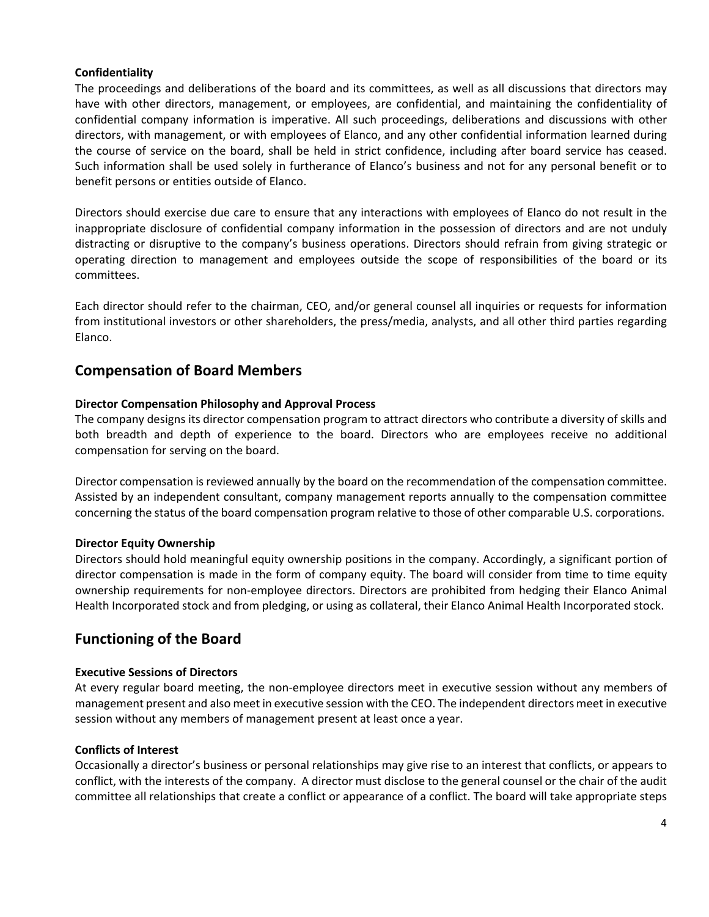#### **Confidentiality**

The proceedings and deliberations of the board and its committees, as well as all discussions that directors may have with other directors, management, or employees, are confidential, and maintaining the confidentiality of confidential company information is imperative. All such proceedings, deliberations and discussions with other directors, with management, or with employees of Elanco, and any other confidential information learned during the course of service on the board, shall be held in strict confidence, including after board service has ceased. Such information shall be used solely in furtherance of Elanco's business and not for any personal benefit or to benefit persons or entities outside of Elanco.

Directors should exercise due care to ensure that any interactions with employees of Elanco do not result in the inappropriate disclosure of confidential company information in the possession of directors and are not unduly distracting or disruptive to the company's business operations. Directors should refrain from giving strategic or operating direction to management and employees outside the scope of responsibilities of the board or its committees.

Each director should refer to the chairman, CEO, and/or general counsel all inquiries or requests for information from institutional investors or other shareholders, the press/media, analysts, and all other third parties regarding Elanco.

## **Compensation of Board Members**

#### **Director Compensation Philosophy and Approval Process**

The company designs its director compensation program to attract directors who contribute a diversity of skills and both breadth and depth of experience to the board. Directors who are employees receive no additional compensation for serving on the board.

Director compensation is reviewed annually by the board on the recommendation of the compensation committee. Assisted by an independent consultant, company management reports annually to the compensation committee concerning the status of the board compensation program relative to those of other comparable U.S. corporations.

#### **Director Equity Ownership**

Directors should hold meaningful equity ownership positions in the company. Accordingly, a significant portion of director compensation is made in the form of company equity. The board will consider from time to time equity ownership requirements for non-employee directors. Directors are prohibited from hedging their Elanco Animal Health Incorporated stock and from pledging, or using as collateral, their Elanco Animal Health Incorporated stock.

# **Functioning of the Board**

#### **Executive Sessions of Directors**

At every regular board meeting, the non-employee directors meet in executive session without any members of management present and also meet in executive session with the CEO. The independent directors meet in executive session without any members of management present at least once a year.

#### **Conflicts of Interest**

Occasionally a director's business or personal relationships may give rise to an interest that conflicts, or appears to conflict, with the interests of the company. A director must disclose to the general counsel or the chair of the audit committee all relationships that create a conflict or appearance of a conflict. The board will take appropriate steps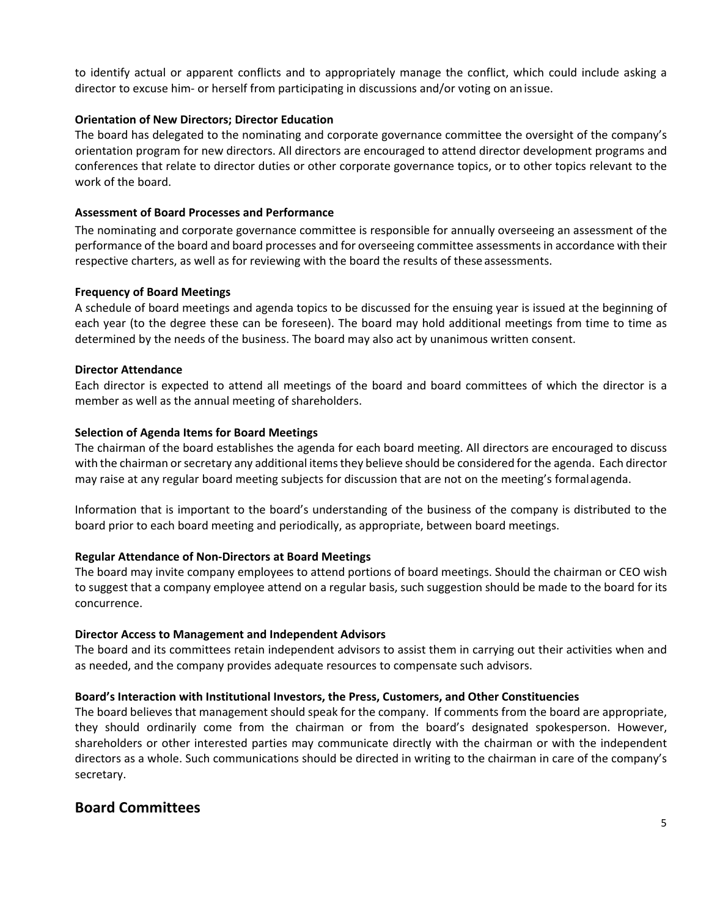to identify actual or apparent conflicts and to appropriately manage the conflict, which could include asking a director to excuse him- or herself from participating in discussions and/or voting on anissue.

#### **Orientation of New Directors; Director Education**

The board has delegated to the nominating and corporate governance committee the oversight of the company's orientation program for new directors. All directors are encouraged to attend director development programs and conferences that relate to director duties or other corporate governance topics, or to other topics relevant to the work of the board.

### **Assessment of Board Processes and Performance**

The nominating and corporate governance committee is responsible for annually overseeing an assessment of the performance of the board and board processes and for overseeing committee assessments in accordance with their respective charters, as well as for reviewing with the board the results of these assessments.

#### **Frequency of Board Meetings**

A schedule of board meetings and agenda topics to be discussed for the ensuing year is issued at the beginning of each year (to the degree these can be foreseen). The board may hold additional meetings from time to time as determined by the needs of the business. The board may also act by unanimous written consent.

#### **Director Attendance**

Each director is expected to attend all meetings of the board and board committees of which the director is a member as well as the annual meeting of shareholders.

#### **Selection of Agenda Items for Board Meetings**

The chairman of the board establishes the agenda for each board meeting. All directors are encouraged to discuss with the chairman or secretary any additional items they believe should be considered for the agenda. Each director may raise at any regular board meeting subjects for discussion that are not on the meeting's formalagenda.

Information that is important to the board's understanding of the business of the company is distributed to the board prior to each board meeting and periodically, as appropriate, between board meetings.

## **Regular Attendance of Non-Directors at Board Meetings**

The board may invite company employees to attend portions of board meetings. Should the chairman or CEO wish to suggest that a company employee attend on a regular basis, such suggestion should be made to the board for its concurrence.

#### **Director Access to Management and Independent Advisors**

The board and its committees retain independent advisors to assist them in carrying out their activities when and as needed, and the company provides adequate resources to compensate such advisors.

## **Board's Interaction with Institutional Investors, the Press, Customers, and Other Constituencies**

The board believes that management should speak for the company. If comments from the board are appropriate, they should ordinarily come from the chairman or from the board's designated spokesperson. However, shareholders or other interested parties may communicate directly with the chairman or with the independent directors as a whole. Such communications should be directed in writing to the chairman in care of the company's secretary.

# **Board Committees**